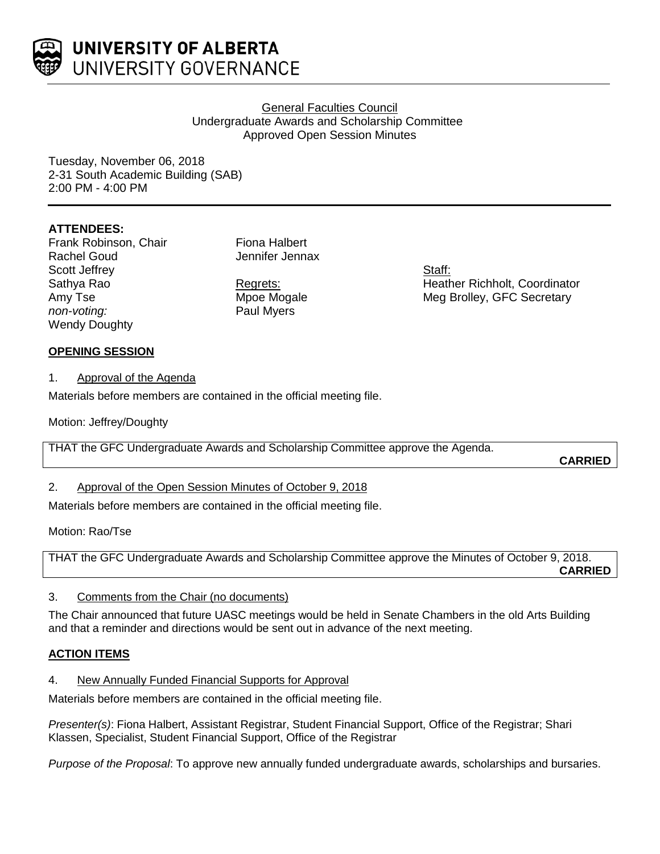

## General Faculties Council Undergraduate Awards and Scholarship Committee Approved Open Session Minutes

Tuesday, November 06, 2018 2-31 South Academic Building (SAB) 2:00 PM - 4:00 PM

# **ATTENDEES:**

Frank Robinson, Chair Rachel Goud Scott Jeffrey Sathya Rao Amy Tse *non-voting:* Wendy Doughty

Fiona Halbert Jennifer Jennax

Regrets: Mpoe Mogale Paul Myers

Staff: Heather Richholt, Coordinator Meg Brolley, GFC Secretary

# **OPENING SESSION**

1. Approval of the Agenda

Materials before members are contained in the official meeting file.

Motion: Jeffrey/Doughty

THAT the GFC Undergraduate Awards and Scholarship Committee approve the Agenda.

**CARRIED**

# 2. Approval of the Open Session Minutes of October 9, 2018

Materials before members are contained in the official meeting file.

Motion: Rao/Tse

THAT the GFC Undergraduate Awards and Scholarship Committee approve the Minutes of October 9, 2018. **CARRIED**

# 3. Comments from the Chair (no documents)

The Chair announced that future UASC meetings would be held in Senate Chambers in the old Arts Building and that a reminder and directions would be sent out in advance of the next meeting.

# **ACTION ITEMS**

4. New Annually Funded Financial Supports for Approval

Materials before members are contained in the official meeting file.

*Presenter(s)*: Fiona Halbert, Assistant Registrar, Student Financial Support, Office of the Registrar; Shari Klassen, Specialist, Student Financial Support, Office of the Registrar

*Purpose of the Proposal*: To approve new annually funded undergraduate awards, scholarships and bursaries.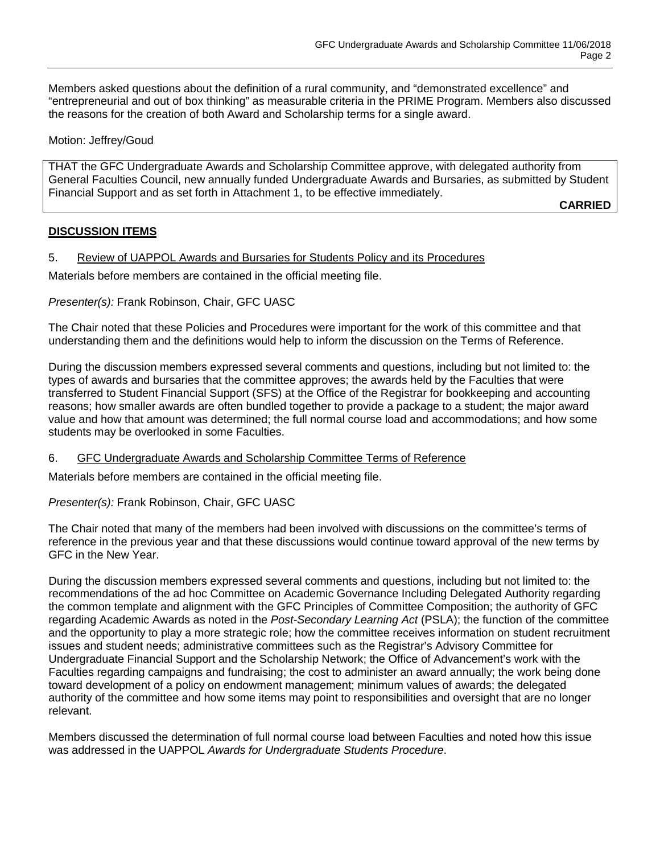Members asked questions about the definition of a rural community, and "demonstrated excellence" and "entrepreneurial and out of box thinking" as measurable criteria in the PRIME Program. Members also discussed the reasons for the creation of both Award and Scholarship terms for a single award.

#### Motion: Jeffrey/Goud

THAT the GFC Undergraduate Awards and Scholarship Committee approve, with delegated authority from General Faculties Council, new annually funded Undergraduate Awards and Bursaries, as submitted by Student Financial Support and as set forth in Attachment 1, to be effective immediately.

**CARRIED**

## **DISCUSSION ITEMS**

5. Review of UAPPOL Awards and Bursaries for Students Policy and its Procedures

Materials before members are contained in the official meeting file.

## *Presenter(s):* Frank Robinson, Chair, GFC UASC

The Chair noted that these Policies and Procedures were important for the work of this committee and that understanding them and the definitions would help to inform the discussion on the Terms of Reference.

During the discussion members expressed several comments and questions, including but not limited to: the types of awards and bursaries that the committee approves; the awards held by the Faculties that were transferred to Student Financial Support (SFS) at the Office of the Registrar for bookkeeping and accounting reasons; how smaller awards are often bundled together to provide a package to a student; the major award value and how that amount was determined; the full normal course load and accommodations; and how some students may be overlooked in some Faculties.

#### 6. GFC Undergraduate Awards and Scholarship Committee Terms of Reference

Materials before members are contained in the official meeting file.

#### *Presenter(s):* Frank Robinson, Chair, GFC UASC

The Chair noted that many of the members had been involved with discussions on the committee's terms of reference in the previous year and that these discussions would continue toward approval of the new terms by GFC in the New Year.

During the discussion members expressed several comments and questions, including but not limited to: the recommendations of the ad hoc Committee on Academic Governance Including Delegated Authority regarding the common template and alignment with the GFC Principles of Committee Composition; the authority of GFC regarding Academic Awards as noted in the *Post-Secondary Learning Act* (PSLA); the function of the committee and the opportunity to play a more strategic role; how the committee receives information on student recruitment issues and student needs; administrative committees such as the Registrar's Advisory Committee for Undergraduate Financial Support and the Scholarship Network; the Office of Advancement's work with the Faculties regarding campaigns and fundraising; the cost to administer an award annually; the work being done toward development of a policy on endowment management; minimum values of awards; the delegated authority of the committee and how some items may point to responsibilities and oversight that are no longer relevant.

Members discussed the determination of full normal course load between Faculties and noted how this issue was addressed in the UAPPOL *Awards for Undergraduate Students Procedure*.